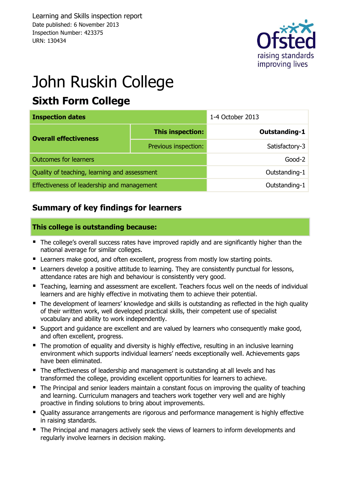

# John Ruskin College

### **Sixth Form College**

| <b>Inspection dates</b>                      |                      | 1-4 October 2013 |  |  |
|----------------------------------------------|----------------------|------------------|--|--|
| <b>Overall effectiveness</b>                 | This inspection:     | Outstanding-1    |  |  |
|                                              | Previous inspection: | Satisfactory-3   |  |  |
| <b>Outcomes for learners</b>                 |                      | Good-2           |  |  |
| Quality of teaching, learning and assessment |                      | Outstanding-1    |  |  |
| Effectiveness of leadership and management   |                      | Outstanding-1    |  |  |

### **Summary of key findings for learners**

#### **This college is outstanding because:**

- The college's overall success rates have improved rapidly and are significantly higher than the national average for similar colleges.
- **E** Learners make good, and often excellent, progress from mostly low starting points.
- **E** Learners develop a positive attitude to learning. They are consistently punctual for lessons, attendance rates are high and behaviour is consistently very good.
- **Teaching, learning and assessment are excellent. Teachers focus well on the needs of individual** learners and are highly effective in motivating them to achieve their potential.
- The development of learners' knowledge and skills is outstanding as reflected in the high quality of their written work, well developed practical skills, their competent use of specialist vocabulary and ability to work independently.
- Support and quidance are excellent and are valued by learners who consequently make good, and often excellent, progress.
- The promotion of equality and diversity is highly effective, resulting in an inclusive learning environment which supports individual learners' needs exceptionally well. Achievements gaps have been eliminated.
- The effectiveness of leadership and management is outstanding at all levels and has transformed the college, providing excellent opportunities for learners to achieve.
- The Principal and senior leaders maintain a constant focus on improving the quality of teaching and learning. Curriculum managers and teachers work together very well and are highly proactive in finding solutions to bring about improvements.
- Ouality assurance arrangements are rigorous and performance management is highly effective in raising standards.
- The Principal and managers actively seek the views of learners to inform developments and regularly involve learners in decision making.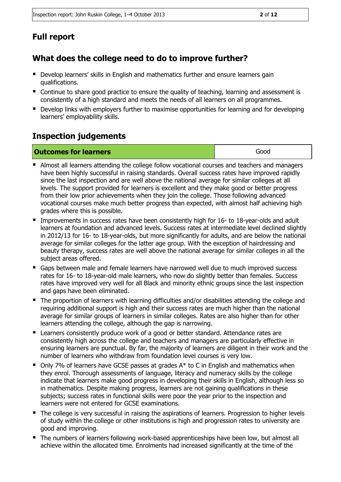### **Full report**

#### **What does the college need to do to improve further?**

- **Develop learners' skills in English and mathematics further and ensure learners gain** qualifications.
- Continue to share good practice to ensure the quality of teaching, learning and assessment is consistently of a high standard and meets the needs of all learners on all programmes.
- **Develop links with employers further to maximise opportunities for learning and for developing** learners' employability skills.

#### **Inspection judgements**

| <b>Outcomes for learners</b> | Good |
|------------------------------|------|
|------------------------------|------|

- Almost all learners attending the college follow vocational courses and teachers and managers have been highly successful in raising standards. Overall success rates have improved rapidly since the last inspection and are well above the national average for similar colleges at all levels. The support provided for learners is excellent and they make good or better progress from their low prior achievements when they join the college. Those following advanced vocational courses make much better progress than expected, with almost half achieving high grades where this is possible.
- **Improvements in success rates have been consistently high for 16- to 18-year-olds and adult** learners at foundation and advanced levels. Success rates at intermediate level declined slightly in 2012/13 for 16- to 18-year-olds, but more significantly for adults, and are below the national average for similar colleges for the latter age group. With the exception of hairdressing and beauty therapy, success rates are well above the national average for similar colleges in all the subject areas offered.
- Gaps between male and female learners have narrowed well due to much improved success rates for 16- to 18-year-old male learners, who now do slightly better than females. Success rates have improved very well for all Black and minority ethnic groups since the last inspection and gaps have been eliminated.
- The proportion of learners with learning difficulties and/or disabilities attending the college and requiring additional support is high and their success rates are much higher than the national average for similar groups of learners in similar colleges. Rates are also higher than for other learners attending the college, although the gap is narrowing.
- Learners consistently produce work of a good or better standard. Attendance rates are consistently high across the college and teachers and managers are particularly effective in ensuring learners are punctual. By far, the majority of learners are diligent in their work and the number of learners who withdraw from foundation level courses is very low.
- $\blacksquare$  Only 7% of learners have GCSE passes at grades A\* to C in English and mathematics when they enrol. Thorough assessments of language, literacy and numeracy skills by the college indicate that learners make good progress in developing their skills in English, although less so in mathematics. Despite making progress, learners are not gaining qualifications in these subjects; success rates in functional skills were poor the year prior to the inspection and learners were not entered for GCSE examinations.
- The college is very successful in raising the aspirations of learners. Progression to higher levels of study within the college or other institutions is high and progression rates to university are good and improving.
- The numbers of learners following work-based apprenticeships have been low, but almost all achieve within the allocated time. Enrolments had increased significantly at the time of the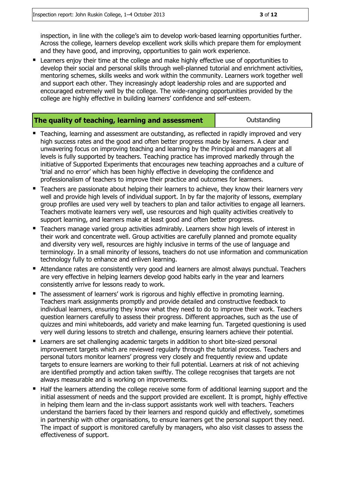inspection, in line with the college's aim to develop work-based learning opportunities further. Across the college, learners develop excellent work skills which prepare them for employment and they have good, and improving, opportunities to gain work experience.

■ Learners enjoy their time at the college and make highly effective use of opportunities to develop their social and personal skills through well-planned tutorial and enrichment activities, mentoring schemes, skills weeks and work within the community. Learners work together well and support each other. They increasingly adopt leadership roles and are supported and encouraged extremely well by the college. The wide-ranging opportunities provided by the college are highly effective in building learners' confidence and self-esteem.

| The quality of teaching, learning and assessment | Outstanding |
|--------------------------------------------------|-------------|
|                                                  |             |

- Teaching, learning and assessment are outstanding, as reflected in rapidly improved and very high success rates and the good and often better progress made by learners. A clear and unwavering focus on improving teaching and learning by the Principal and managers at all levels is fully supported by teachers. Teaching practice has improved markedly through the initiative of Supported Experiments that encourages new teaching approaches and a culture of 'trial and no error' which has been highly effective in developing the confidence and professionalism of teachers to improve their practice and outcomes for learners.
- **Teachers are passionate about helping their learners to achieve, they know their learners very** well and provide high levels of individual support. In by far the majority of lessons, exemplary group profiles are used very well by teachers to plan and tailor activities to engage all learners. Teachers motivate learners very well, use resources and high quality activities creatively to support learning, and learners make at least good and often better progress.
- Teachers manage varied group activities admirably. Learners show high levels of interest in their work and concentrate well. Group activities are carefully planned and promote equality and diversity very well, resources are highly inclusive in terms of the use of language and terminology. In a small minority of lessons, teachers do not use information and communication technology fully to enhance and enliven learning.
- Attendance rates are consistently very good and learners are almost always punctual. Teachers are very effective in helping learners develop good habits early in the year and learners consistently arrive for lessons ready to work.
- The assessment of learners' work is rigorous and highly effective in promoting learning. Teachers mark assignments promptly and provide detailed and constructive feedback to individual learners, ensuring they know what they need to do to improve their work. Teachers question learners carefully to assess their progress. Different approaches, such as the use of quizzes and mini whiteboards, add variety and make learning fun. Targeted questioning is used very well during lessons to stretch and challenge, ensuring learners achieve their potential.
- Learners are set challenging academic targets in addition to short bite-sized personal improvement targets which are reviewed regularly through the tutorial process. Teachers and personal tutors monitor learners' progress very closely and frequently review and update targets to ensure learners are working to their full potential. Learners at risk of not achieving are identified promptly and action taken swiftly. The college recognises that targets are not always measurable and is working on improvements.
- Half the learners attending the college receive some form of additional learning support and the initial assessment of needs and the support provided are excellent. It is prompt, highly effective in helping them learn and the in-class support assistants work well with teachers. Teachers understand the barriers faced by their learners and respond quickly and effectively, sometimes in partnership with other organisations, to ensure learners get the personal support they need. The impact of support is monitored carefully by managers, who also visit classes to assess the effectiveness of support.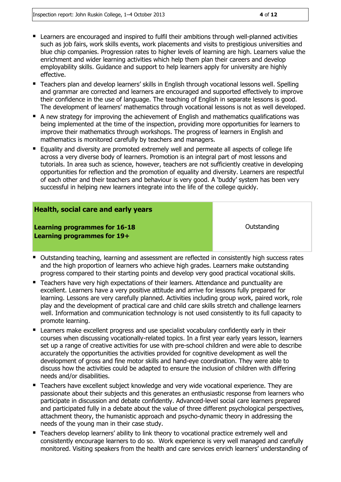- Learners are encouraged and inspired to fulfil their ambitions through well-planned activities such as job fairs, work skills events, work placements and visits to prestigious universities and blue chip companies. Progression rates to higher levels of learning are high. Learners value the enrichment and wider learning activities which help them plan their careers and develop employability skills. Guidance and support to help learners apply for university are highly effective.
- **Teachers plan and develop learners' skills in English through vocational lessons well. Spelling** and grammar are corrected and learners are encouraged and supported effectively to improve their confidence in the use of language. The teaching of English in separate lessons is good. The development of learners' mathematics through vocational lessons is not as well developed.
- A new strategy for improving the achievement of English and mathematics qualifications was being implemented at the time of the inspection, providing more opportunities for learners to improve their mathematics through workshops. The progress of learners in English and mathematics is monitored carefully by teachers and managers.
- **Equality and diversity are promoted extremely well and permeate all aspects of college life** across a very diverse body of learners. Promotion is an integral part of most lessons and tutorials. In area such as science, however, teachers are not sufficiently creative in developing opportunities for reflection and the promotion of equality and diversity. Learners are respectful of each other and their teachers and behaviour is very good. A 'buddy' system has been very successful in helping new learners integrate into the life of the college quickly.

#### **Health, social care and early years**

**Learning programmes for 16-18 Learning programmes for 19+**

**Outstanding** 

- **Dutstanding teaching, learning and assessment are reflected in consistently high success rates** and the high proportion of learners who achieve high grades. Learners make outstanding progress compared to their starting points and develop very good practical vocational skills.
- Teachers have very high expectations of their learners. Attendance and punctuality are excellent. Learners have a very positive attitude and arrive for lessons fully prepared for learning. Lessons are very carefully planned. Activities including group work, paired work, role play and the development of practical care and child care skills stretch and challenge learners well. Information and communication technology is not used consistently to its full capacity to promote learning.
- **E** Learners make excellent progress and use specialist vocabulary confidently early in their courses when discussing vocationally-related topics. In a first year early years lesson, learners set up a range of creative activities for use with pre-school children and were able to describe accurately the opportunities the activities provided for cognitive development as well the development of gross and fine motor skills and hand-eye coordination. They were able to discuss how the activities could be adapted to ensure the inclusion of children with differing needs and/or disabilities.
- **Teachers have excellent subject knowledge and very wide vocational experience. They are** passionate about their subjects and this generates an enthusiastic response from learners who participate in discussion and debate confidently. Advanced-level social care learners prepared and participated fully in a debate about the value of three different psychological perspectives, attachment theory, the humanistic approach and psycho-dynamic theory in addressing the needs of the young man in their case study.
- **Teachers develop learners' ability to link theory to vocational practice extremely well and** consistently encourage learners to do so. Work experience is very well managed and carefully monitored. Visiting speakers from the health and care services enrich learners' understanding of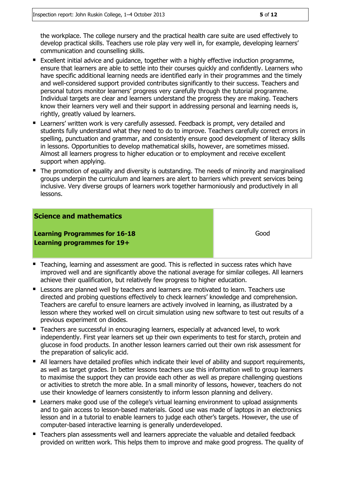the workplace. The college nursery and the practical health care suite are used effectively to develop practical skills. Teachers use role play very well in, for example, developing learners' communication and counselling skills.

- Excellent initial advice and guidance, together with a highly effective induction programme, ensure that learners are able to settle into their courses quickly and confidently. Learners who have specific additional learning needs are identified early in their programmes and the timely and well-considered support provided contributes significantly to their success. Teachers and personal tutors monitor learners' progress very carefully through the tutorial programme. Individual targets are clear and learners understand the progress they are making. Teachers know their learners very well and their support in addressing personal and learning needs is, rightly, greatly valued by learners.
- Learners' written work is very carefully assessed. Feedback is prompt, very detailed and students fully understand what they need to do to improve. Teachers carefully correct errors in spelling, punctuation and grammar, and consistently ensure good development of literacy skills in lessons. Opportunities to develop mathematical skills, however, are sometimes missed. Almost all learners progress to higher education or to employment and receive excellent support when applying.
- The promotion of equality and diversity is outstanding. The needs of minority and marginalised groups underpin the curriculum and learners are alert to barriers which prevent services being inclusive. Very diverse groups of learners work together harmoniously and productively in all lessons.

#### **Science and mathematics**

**Learning Programmes for 16-18 Learning programmes for 19+**

Good

- **Teaching, learning and assessment are good. This is reflected in success rates which have** improved well and are significantly above the national average for similar colleges. All learners achieve their qualification, but relatively few progress to higher education.
- **EXECTS** Lessons are planned well by teachers and learners are motivated to learn. Teachers use directed and probing questions effectively to check learners' knowledge and comprehension. Teachers are careful to ensure learners are actively involved in learning, as illustrated by a lesson where they worked well on circuit simulation using new software to test out results of a previous experiment on diodes.
- Teachers are successful in encouraging learners, especially at advanced level, to work independently. First year learners set up their own experiments to test for starch, protein and glucose in food products. In another lesson learners carried out their own risk assessment for the preparation of salicylic acid.
- All learners have detailed profiles which indicate their level of ability and support requirements, as well as target grades. In better lessons teachers use this information well to group learners to maximise the support they can provide each other as well as prepare challenging questions or activities to stretch the more able. In a small minority of lessons, however, teachers do not use their knowledge of learners consistently to inform lesson planning and delivery.
- **E** Learners make good use of the college's virtual learning environment to upload assignments and to gain access to lesson-based materials. Good use was made of laptops in an electronics lesson and in a tutorial to enable learners to judge each other's targets. However, the use of computer-based interactive learning is generally underdeveloped.
- **Teachers plan assessments well and learners appreciate the valuable and detailed feedback** provided on written work. This helps them to improve and make good progress. The quality of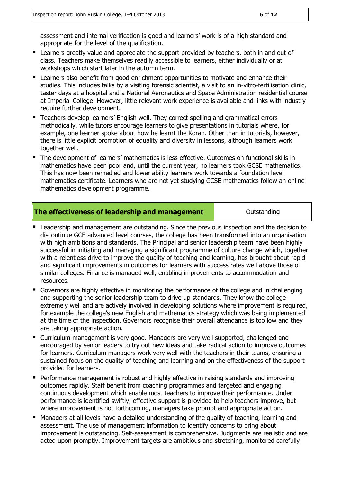assessment and internal verification is good and learners' work is of a high standard and appropriate for the level of the qualification.

- **E** Learners greatly value and appreciate the support provided by teachers, both in and out of class. Teachers make themselves readily accessible to learners, either individually or at workshops which start later in the autumn term.
- **E** Learners also benefit from good enrichment opportunities to motivate and enhance their studies. This includes talks by a visiting forensic scientist, a visit to an in-vitro-fertilisation clinic, taster days at a hospital and a National Aeronautics and Space Administration residential course at Imperial College. However, little relevant work experience is available and links with industry require further development.
- Teachers develop learners' English well. They correct spelling and grammatical errors methodically, while tutors encourage learners to give presentations in tutorials where, for example, one learner spoke about how he learnt the Koran. Other than in tutorials, however, there is little explicit promotion of equality and diversity in lessons, although learners work together well.
- The development of learners' mathematics is less effective. Outcomes on functional skills in mathematics have been poor and, until the current year, no learners took GCSE mathematics. This has now been remedied and lower ability learners work towards a foundation level mathematics certificate. Learners who are not yet studying GCSE mathematics follow an online mathematics development programme.

#### **The effectiveness of leadership and management and a line of the Cutstanding**

- Leadership and management are outstanding. Since the previous inspection and the decision to discontinue GCE advanced level courses, the college has been transformed into an organisation with high ambitions and standards. The Principal and senior leadership team have been highly successful in initiating and managing a significant programme of culture change which, together with a relentless drive to improve the quality of teaching and learning, has brought about rapid and significant improvements in outcomes for learners with success rates well above those of similar colleges. Finance is managed well, enabling improvements to accommodation and resources.
- Governors are highly effective in monitoring the performance of the college and in challenging and supporting the senior leadership team to drive up standards. They know the college extremely well and are actively involved in developing solutions where improvement is required, for example the college's new English and mathematics strategy which was being implemented at the time of the inspection. Governors recognise their overall attendance is too low and they are taking appropriate action.
- Curriculum management is very good. Managers are very well supported, challenged and encouraged by senior leaders to try out new ideas and take radical action to improve outcomes for learners. Curriculum managers work very well with the teachers in their teams, ensuring a sustained focus on the quality of teaching and learning and on the effectiveness of the support provided for learners.
- Performance management is robust and highly effective in raising standards and improving outcomes rapidly. Staff benefit from coaching programmes and targeted and engaging continuous development which enable most teachers to improve their performance. Under performance is identified swiftly, effective support is provided to help teachers improve, but where improvement is not forthcoming, managers take prompt and appropriate action.
- Managers at all levels have a detailed understanding of the quality of teaching, learning and assessment. The use of management information to identify concerns to bring about improvement is outstanding. Self-assessment is comprehensive. Judgments are realistic and are acted upon promptly. Improvement targets are ambitious and stretching, monitored carefully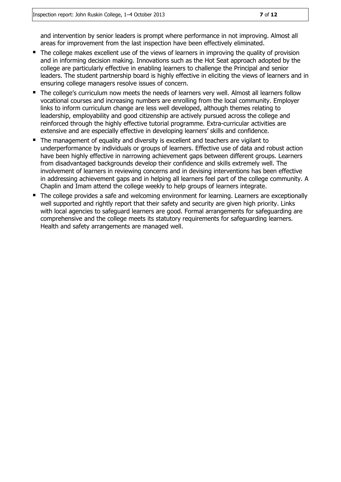and intervention by senior leaders is prompt where performance in not improving. Almost all areas for improvement from the last inspection have been effectively eliminated.

- The college makes excellent use of the views of learners in improving the quality of provision and in informing decision making. Innovations such as the Hot Seat approach adopted by the college are particularly effective in enabling learners to challenge the Principal and senior leaders. The student partnership board is highly effective in eliciting the views of learners and in ensuring college managers resolve issues of concern.
- The college's curriculum now meets the needs of learners very well. Almost all learners follow vocational courses and increasing numbers are enrolling from the local community. Employer links to inform curriculum change are less well developed, although themes relating to leadership, employability and good citizenship are actively pursued across the college and reinforced through the highly effective tutorial programme. Extra-curricular activities are extensive and are especially effective in developing learners' skills and confidence.
- The management of equality and diversity is excellent and teachers are vigilant to underperformance by individuals or groups of learners. Effective use of data and robust action have been highly effective in narrowing achievement gaps between different groups. Learners from disadvantaged backgrounds develop their confidence and skills extremely well. The involvement of learners in reviewing concerns and in devising interventions has been effective in addressing achievement gaps and in helping all learners feel part of the college community. A Chaplin and Imam attend the college weekly to help groups of learners integrate.
- The college provides a safe and welcoming environment for learning. Learners are exceptionally well supported and rightly report that their safety and security are given high priority. Links with local agencies to safeguard learners are good. Formal arrangements for safeguarding are comprehensive and the college meets its statutory requirements for safeguarding learners. Health and safety arrangements are managed well.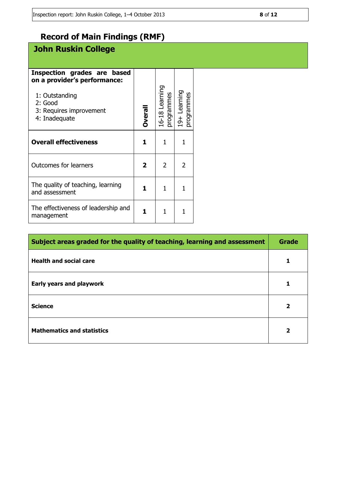### **Record of Main Findings (RMF)**

### **John Ruskin College**

| Inspection grades are based<br>on a provider's performance:<br>1: Outstanding<br>2: Good<br>3: Requires improvement<br>4: Inadequate | Overall      | 16-18 Learning<br>programmes | 19+ Learning<br>programmes |
|--------------------------------------------------------------------------------------------------------------------------------------|--------------|------------------------------|----------------------------|
| <b>Overall effectiveness</b>                                                                                                         | 1.           | 1                            |                            |
| <b>Outcomes for learners</b>                                                                                                         | $\mathbf{2}$ | $\overline{2}$               | $\mathcal{P}$              |
| The quality of teaching, learning<br>and assessment                                                                                  | 1.           | 1                            |                            |
| The effectiveness of leadership and<br>management                                                                                    |              |                              |                            |

| Subject areas graded for the quality of teaching, learning and assessment |                         |
|---------------------------------------------------------------------------|-------------------------|
| <b>Health and social care</b>                                             |                         |
| <b>Early years and playwork</b>                                           |                         |
| <b>Science</b>                                                            | $\mathbf{2}$            |
| <b>Mathematics and statistics</b>                                         | $\overline{\mathbf{2}}$ |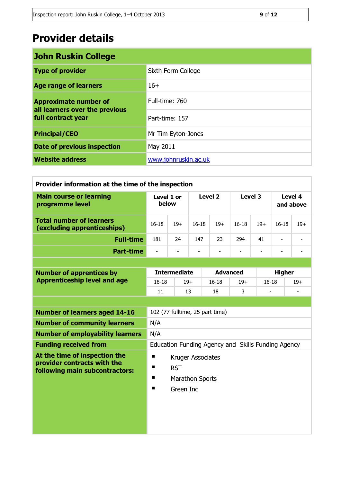## **Provider details**

| <b>John Ruskin College</b>                                                           |                      |  |  |
|--------------------------------------------------------------------------------------|----------------------|--|--|
| <b>Type of provider</b>                                                              | Sixth Form College   |  |  |
| <b>Age range of learners</b>                                                         | $16+$                |  |  |
| <b>Approximate number of</b><br>all learners over the previous<br>full contract year | Full-time: 760       |  |  |
|                                                                                      | Part-time: 157       |  |  |
| <b>Principal/CEO</b>                                                                 | Mr Tim Eyton-Jones   |  |  |
| <b>Date of previous inspection</b>                                                   | May 2011             |  |  |
| <b>Website address</b>                                                               | www.johnruskin.ac.uk |  |  |

| Provider information at the time of the inspection             |                                                    |           |                    |                          |                          |                          |                          |                          |  |
|----------------------------------------------------------------|----------------------------------------------------|-----------|--------------------|--------------------------|--------------------------|--------------------------|--------------------------|--------------------------|--|
| <b>Main course or learning</b><br>programme level              | Level 1 or<br>below                                |           | Level <sub>2</sub> |                          | Level 3                  |                          | Level 4<br>and above     |                          |  |
| <b>Total number of learners</b><br>(excluding apprenticeships) | $16 - 18$                                          | $19+$     | $16 - 18$          | $19+$                    | $16-18$                  | $19+$                    | $16-18$                  | $19+$                    |  |
| <b>Full-time</b>                                               | 181                                                | 24        | 147                | 23                       | 294                      | 41                       | $\overline{\phantom{a}}$ |                          |  |
| <b>Part-time</b>                                               | $\overline{\phantom{0}}$                           |           |                    | $\overline{\phantom{a}}$ | $\overline{\phantom{a}}$ | $\overline{\phantom{a}}$ |                          | $\overline{\phantom{a}}$ |  |
|                                                                |                                                    |           |                    |                          |                          |                          |                          |                          |  |
| <b>Number of apprentices by</b>                                | <b>Intermediate</b>                                |           |                    | <b>Advanced</b>          |                          |                          | <b>Higher</b>            |                          |  |
| <b>Apprenticeship level and age</b>                            | $16 - 18$                                          | $19+$     |                    | $16 - 18$                | $19+$                    | $16 - 18$                |                          | $19+$                    |  |
|                                                                | 11                                                 | 13        |                    | 18                       | 3                        |                          |                          |                          |  |
|                                                                |                                                    |           |                    |                          |                          |                          |                          |                          |  |
| <b>Number of learners aged 14-16</b>                           | 102 (77 fulltime, 25 part time)                    |           |                    |                          |                          |                          |                          |                          |  |
| <b>Number of community learners</b>                            | N/A                                                |           |                    |                          |                          |                          |                          |                          |  |
| <b>Number of employability learners</b>                        | N/A                                                |           |                    |                          |                          |                          |                          |                          |  |
| <b>Funding received from</b>                                   | Education Funding Agency and Skills Funding Agency |           |                    |                          |                          |                          |                          |                          |  |
| At the time of inspection the                                  | п<br>Kruger Associates                             |           |                    |                          |                          |                          |                          |                          |  |
| provider contracts with the<br>following main subcontractors:  | п<br><b>RST</b>                                    |           |                    |                          |                          |                          |                          |                          |  |
|                                                                | п<br><b>Marathon Sports</b>                        |           |                    |                          |                          |                          |                          |                          |  |
|                                                                | п                                                  | Green Inc |                    |                          |                          |                          |                          |                          |  |
|                                                                |                                                    |           |                    |                          |                          |                          |                          |                          |  |
|                                                                |                                                    |           |                    |                          |                          |                          |                          |                          |  |
|                                                                |                                                    |           |                    |                          |                          |                          |                          |                          |  |
|                                                                |                                                    |           |                    |                          |                          |                          |                          |                          |  |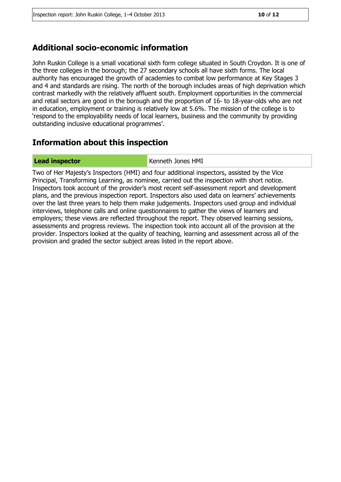#### **Additional socio-economic information**

John Ruskin College is a small vocational sixth form college situated in South Croydon. It is one of the three colleges in the borough; the 27 secondary schools all have sixth forms. The local authority has encouraged the growth of academies to combat low performance at Key Stages 3 and 4 and standards are rising. The north of the borough includes areas of high deprivation which contrast markedly with the relatively affluent south. Employment opportunities in the commercial and retail sectors are good in the borough and the proportion of 16- to 18-year-olds who are not in education, employment or training is relatively low at 5.6%. The mission of the college is to 'respond to the employability needs of local learners, business and the community by providing outstanding inclusive educational programmes'.

#### **Information about this inspection**

**Lead inspector Contract Contract Contract Contract Contract Contract Contract Contract Contract Contract Contract Contract Contract Contract Contract Contract Contract Contract Contract Contract Contract Contract Contra** 

Two of Her Majesty's Inspectors (HMI) and four additional inspectors, assisted by the Vice Principal, Transforming Learning, as nominee, carried out the inspection with short notice. Inspectors took account of the provider's most recent self-assessment report and development plans, and the previous inspection report. Inspectors also used data on learners' achievements over the last three years to help them make judgements. Inspectors used group and individual interviews, telephone calls and online questionnaires to gather the views of learners and employers; these views are reflected throughout the report. They observed learning sessions, assessments and progress reviews. The inspection took into account all of the provision at the provider. Inspectors looked at the quality of teaching, learning and assessment across all of the provision and graded the sector subject areas listed in the report above.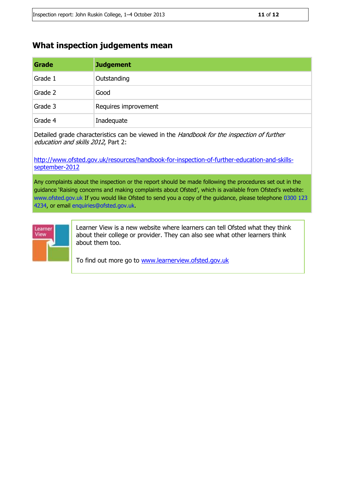#### **What inspection judgements mean**

| Grade   | <b>Judgement</b>     |
|---------|----------------------|
| Grade 1 | Outstanding          |
| Grade 2 | Good                 |
| Grade 3 | Requires improvement |
| Grade 4 | Inadequate           |

Detailed grade characteristics can be viewed in the Handbook for the inspection of further education and skills 2012, Part 2:

[http://www.ofsted.gov.uk/resources/handbook-for-inspection-of-further-education-and-skills](http://www.ofsted.gov.uk/resources/handbook-for-inspection-of-further-education-and-skills-september-2012)[september-2012](http://www.ofsted.gov.uk/resources/handbook-for-inspection-of-further-education-and-skills-september-2012)

Any complaints about the inspection or the report should be made following the procedures set out in the guidance 'Raising concerns and making complaints about Ofsted', which is available from Ofsted's website: www.ofsted.gov.uk If you would like Ofsted to send you a copy of the guidance, please telephone 0300 123 4234, or email enquiries@ofsted.gov.uk.



Learner View is a new website where learners can tell Ofsted what they think about their college or provider. They can also see what other learners think about them too.

To find out more go to [www.learnerview.ofsted.gov.uk](http://www.learnerview.ofsted.gov.uk/)